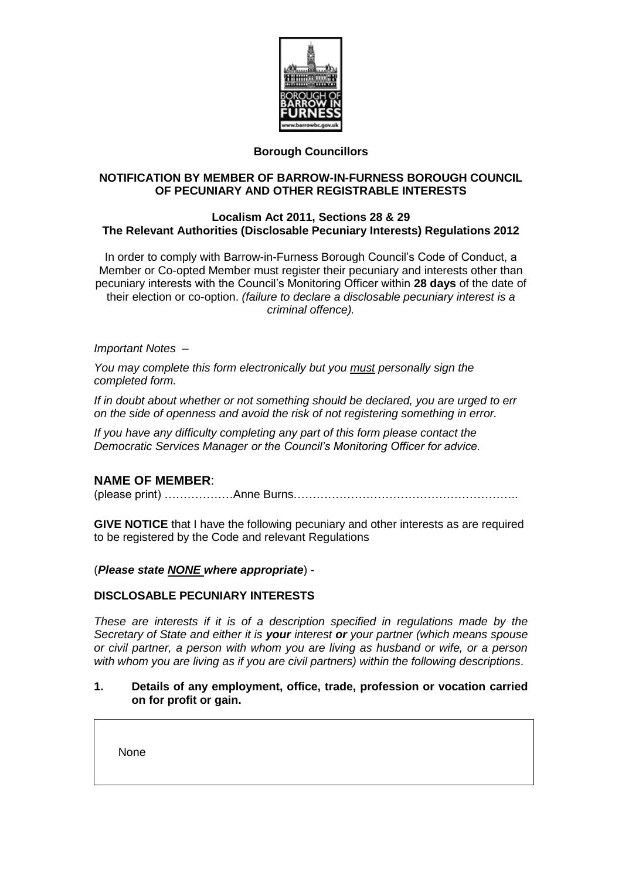

## **Borough Councillors**

## **NOTIFICATION BY MEMBER OF BARROW-IN-FURNESS BOROUGH COUNCIL OF PECUNIARY AND OTHER REGISTRABLE INTERESTS**

### **Localism Act 2011, Sections 28 & 29 The Relevant Authorities (Disclosable Pecuniary Interests) Regulations 2012**

In order to comply with Barrow-in-Furness Borough Council's Code of Conduct, a Member or Co-opted Member must register their pecuniary and interests other than pecuniary interests with the Council's Monitoring Officer within **28 days** of the date of their election or co-option. *(failure to declare a disclosable pecuniary interest is a criminal offence).* 

### *Important Notes –*

*You may complete this form electronically but you must personally sign the completed form.*

*If in doubt about whether or not something should be declared, you are urged to err on the side of openness and avoid the risk of not registering something in error.*

*If you have any difficulty completing any part of this form please contact the Democratic Services Manager or the Council's Monitoring Officer for advice.*

## **NAME OF MEMBER**:

(please print) ………………Anne Burns…………………………………………………..

**GIVE NOTICE** that I have the following pecuniary and other interests as are required to be registered by the Code and relevant Regulations

#### (*Please state NONE where appropriate*) -

#### **DISCLOSABLE PECUNIARY INTERESTS**

*These are interests if it is of a description specified in regulations made by the Secretary of State and either it is your interest or your partner (which means spouse or civil partner, a person with whom you are living as husband or wife, or a person with whom you are living as if you are civil partners) within the following descriptions.*

### **1. Details of any employment, office, trade, profession or vocation carried on for profit or gain.**

None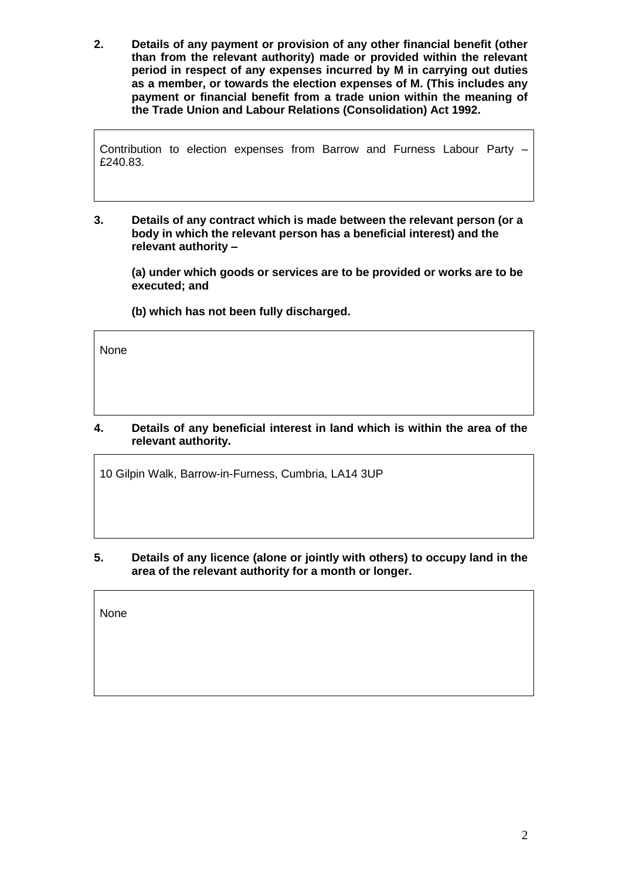**2. Details of any payment or provision of any other financial benefit (other than from the relevant authority) made or provided within the relevant period in respect of any expenses incurred by M in carrying out duties as a member, or towards the election expenses of M. (This includes any payment or financial benefit from a trade union within the meaning of the Trade Union and Labour Relations (Consolidation) Act 1992.** 

Contribution to election expenses from Barrow and Furness Labour Party – £240.83.

**3. Details of any contract which is made between the relevant person (or a body in which the relevant person has a beneficial interest) and the relevant authority –**

**(a) under which goods or services are to be provided or works are to be executed; and** 

**(b) which has not been fully discharged.** 

None

## **4. Details of any beneficial interest in land which is within the area of the relevant authority.**

10 Gilpin Walk, Barrow-in-Furness, Cumbria, LA14 3UP

**5. Details of any licence (alone or jointly with others) to occupy land in the area of the relevant authority for a month or longer.** 

None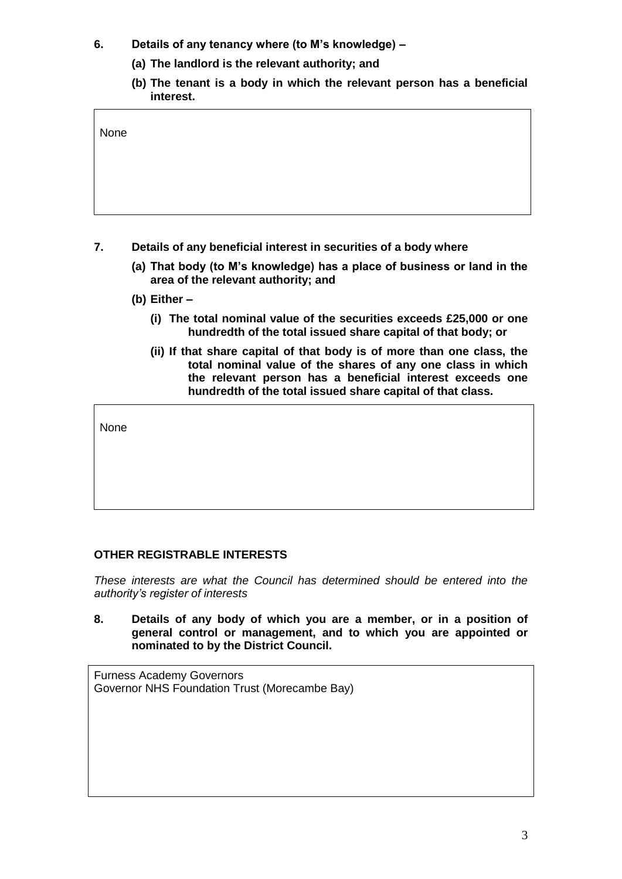- **6. Details of any tenancy where (to M's knowledge) –**
	- **(a) The landlord is the relevant authority; and**
	- **(b) The tenant is a body in which the relevant person has a beneficial interest.**

| None |  |  |  |
|------|--|--|--|
|      |  |  |  |
|      |  |  |  |

- **7. Details of any beneficial interest in securities of a body where**
	- **(a) That body (to M's knowledge) has a place of business or land in the area of the relevant authority; and**
	- **(b) Either –**
		- **(i) The total nominal value of the securities exceeds £25,000 or one hundredth of the total issued share capital of that body; or**
		- **(ii) If that share capital of that body is of more than one class, the total nominal value of the shares of any one class in which the relevant person has a beneficial interest exceeds one hundredth of the total issued share capital of that class.**

None

# **OTHER REGISTRABLE INTERESTS**

*These interests are what the Council has determined should be entered into the authority's register of interests*

**8. Details of any body of which you are a member, or in a position of general control or management, and to which you are appointed or nominated to by the District Council.** 

Furness Academy Governors Governor NHS Foundation Trust (Morecambe Bay)